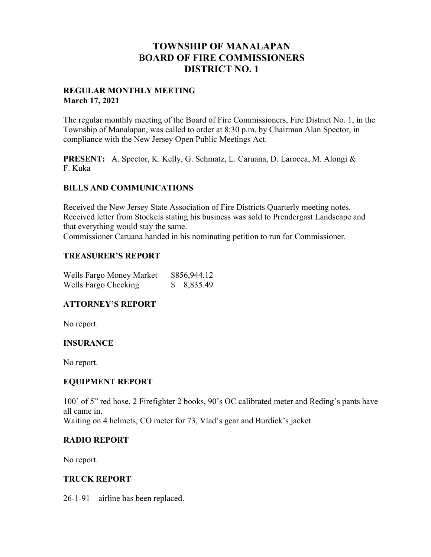# **TOWNSHIP OF MANALAPAN BOARD OF FIRE COMMISSIONERS DISTRICT NO. 1**

#### **REGULAR MONTHLY MEETING March 17, 2021**

The regular monthly meeting of the Board of Fire Commissioners, Fire District No. 1, in the Township of Manalapan, was called to order at 8:30 p.m. by Chairman Alan Spector, in compliance with the New Jersey Open Public Meetings Act.

**PRESENT:** A. Spector, K. Kelly, G. Schmatz, L. Caruana, D. Larocca, M. Alongi & F. Kuka

#### **BILLS AND COMMUNICATIONS**

Received the New Jersey State Association of Fire Districts Quarterly meeting notes. Received letter from Stockels stating his business was sold to Prendergast Landscape and that everything would stay the same.

Commissioner Caruana handed in his nominating petition to run for Commissioner.

#### **TREASURER'S REPORT**

| Wells Fargo Money Market | \$856,944.12 |
|--------------------------|--------------|
| Wells Fargo Checking     | 8,835.49     |

#### **ATTORNEY'S REPORT**

No report.

#### **INSURANCE**

No report.

#### **EQUIPMENT REPORT**

100' of 5" red hose, 2 Firefighter 2 books, 90's OC calibrated meter and Reding's pants have all came in. Waiting on 4 helmets, CO meter for 73, Vlad's gear and Burdick's jacket.

### **RADIO REPORT**

No report.

#### **TRUCK REPORT**

26-1-91 – airline has been replaced.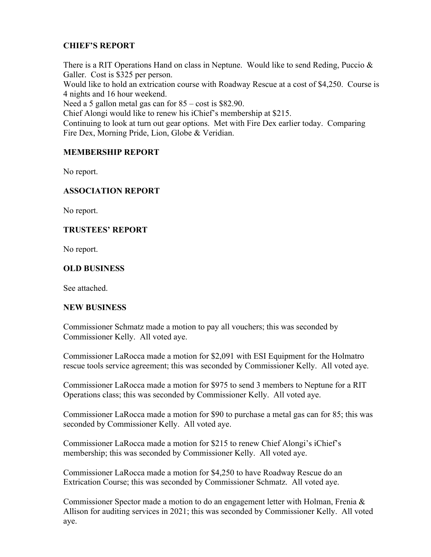## **CHIEF'S REPORT**

There is a RIT Operations Hand on class in Neptune. Would like to send Reding, Puccio  $\&$ Galler. Cost is \$325 per person.

Would like to hold an extrication course with Roadway Rescue at a cost of \$4,250. Course is 4 nights and 16 hour weekend.

Need a 5 gallon metal gas can for 85 – cost is \$82.90.

Chief Alongi would like to renew his iChief's membership at \$215.

Continuing to look at turn out gear options. Met with Fire Dex earlier today. Comparing Fire Dex, Morning Pride, Lion, Globe & Veridian.

### **MEMBERSHIP REPORT**

No report.

## **ASSOCIATION REPORT**

No report.

### **TRUSTEES' REPORT**

No report.

### **OLD BUSINESS**

See attached.

#### **NEW BUSINESS**

Commissioner Schmatz made a motion to pay all vouchers; this was seconded by Commissioner Kelly. All voted aye.

Commissioner LaRocca made a motion for \$2,091 with ESI Equipment for the Holmatro rescue tools service agreement; this was seconded by Commissioner Kelly. All voted aye.

Commissioner LaRocca made a motion for \$975 to send 3 members to Neptune for a RIT Operations class; this was seconded by Commissioner Kelly. All voted aye.

Commissioner LaRocca made a motion for \$90 to purchase a metal gas can for 85; this was seconded by Commissioner Kelly. All voted aye.

Commissioner LaRocca made a motion for \$215 to renew Chief Alongi's iChief's membership; this was seconded by Commissioner Kelly. All voted aye.

Commissioner LaRocca made a motion for \$4,250 to have Roadway Rescue do an Extrication Course; this was seconded by Commissioner Schmatz. All voted aye.

Commissioner Spector made a motion to do an engagement letter with Holman, Frenia  $\&$ Allison for auditing services in 2021; this was seconded by Commissioner Kelly. All voted aye.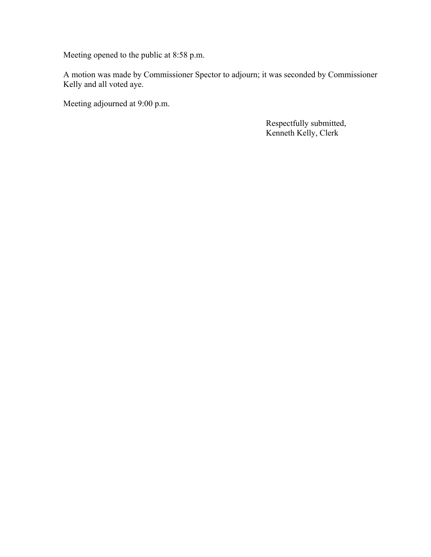Meeting opened to the public at 8:58 p.m.

A motion was made by Commissioner Spector to adjourn; it was seconded by Commissioner Kelly and all voted aye.

Meeting adjourned at 9:00 p.m.

 Respectfully submitted, Kenneth Kelly, Clerk